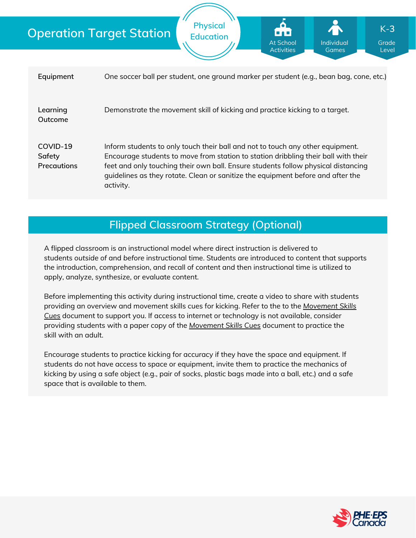## **Operation Target Station**

|                       | At School<br>Individual<br>Grade<br><b>Activities</b><br><b>Games</b><br>Level                                                                                          |  |  |  |  |
|-----------------------|-------------------------------------------------------------------------------------------------------------------------------------------------------------------------|--|--|--|--|
|                       |                                                                                                                                                                         |  |  |  |  |
| Equipment             | One soccer ball per student, one ground marker per student (e.g., bean bag, cone, etc.)                                                                                 |  |  |  |  |
|                       |                                                                                                                                                                         |  |  |  |  |
| Learning              | Demonstrate the movement skill of kicking and practice kicking to a target.                                                                                             |  |  |  |  |
| Outcome               |                                                                                                                                                                         |  |  |  |  |
|                       |                                                                                                                                                                         |  |  |  |  |
| COVID-19              | Inform students to only touch their ball and not to touch any other equipment.                                                                                          |  |  |  |  |
| Safety<br>Precautions | Encourage students to move from station to station dribbling their ball with their<br>feet and only touching their own ball. Ensure students follow physical distancing |  |  |  |  |
|                       | quidelines as they rotate. Clean or sanitize the equipment before and after the                                                                                         |  |  |  |  |
|                       | activity.                                                                                                                                                               |  |  |  |  |

**Physical Education**

## **Flipped Classroom Strategy (Optional)**

A flipped classroom is an instructional model where direct instruction is delivered to students *outside of* and *before* instructional time. Students are introduced to content that supports the introduction, comprehension, and recall of content and then instructional time is utilized to apply, analyze, synthesize, or evaluate content.

Before implementing this activity during instructional time, create a video to share with students providing an overview and movement skills cues for kicking. Refer to the to the *Movement Skills Cues* document to support you. If access to internet or [technology](https://phecanada.ca/sites/default/files/content/docs/Home%20Learning%20Resource/Movement%20Cues/Movement%20Skills%20Cues%201.pdf) is not available, consider providing students with a paper copy of the *[Movement](https://phecanada.ca/sites/default/files/content/docs/Home%20Learning%20Resource/Movement%20Cues/Movement%20Skills%20Cues%201.pdf) Skills Cues* document to practice the skill with an adult.

Encourage students to practice kicking for accuracy if they have the space and equipment. If students do not have access to space or equipment, invite them to practice the mechanics of kicking by using a safe object (e.g., pair of socks, plastic bags made into a ball, etc.) and a safe space that is available to them.



Grade

K-**3**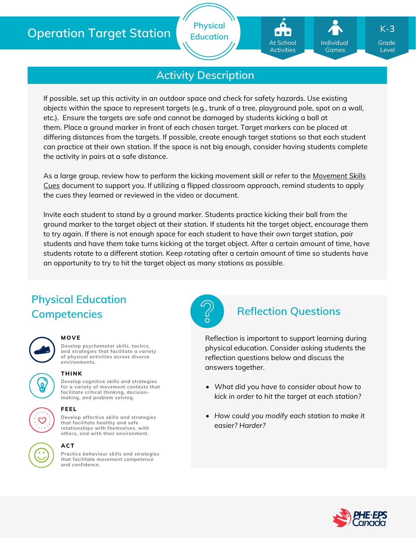## **Operation Target Station**

### **Activity Description**

**Physical Education**

If possible, set up this activity in an outdoor space and check for safety hazards. Use existing objects within the space to represent targets (e.g., trunk of a tree, playground pole, spot on a wall, etc.). Ensure the targets are safe and cannot be damaged by students kicking a ball at them. Place a ground marker in front of each chosen target. Target markers can be placed at differing distances from the targets. If possible, create enough target stations so that each student can practice at their own station. If the space is not big enough, consider having students complete the activity in pairs at a safe distance.

As a large group, review how to perform the kicking [movement](https://phecanada.ca/sites/default/files/content/docs/Home%20Learning%20Resource/Movement%20Cues/Movement%20Skills%20Cues%201.pdf) skill or refer to the *Movement Skills Cues* document to support you. If utilizing a flipped classroom approach, remind students to apply the cues they learned or reviewed in the video or document.

Invite each student to stand by a ground marker. Students practice kicking their ball from the ground marker to the target object at their station. If students hit the target object, encourage them to try again. If there is not enough space for each student to have their own target station, pair students and have them take turns kicking at the target object. After a certain amount of time, have students rotate to a different station. Keep rotating after a certain amount of time so students have an opportunity to try to hit the target object as many stations as possible.

# **Physical Education Competencies Reflection Questions**

### **MOVE**

**Develop psychomotor skills, tactics, and strategies that facilitate a variety of physical activities across diverse environments.**



**Develop cognitive skills and strategies for a variety of movement contexts that facilitate critical thinking, decision making, and problem solving. THINK**



**FEEL**

**Develop affective skills and strategies that facilitate healthy and safe relationships with themselves, with others, and with their environment.**

### **ACT**

**Practice behaviour skills and strategies that facilitate movement competence and confidence.**



Reflection is important to support learning during physical education. Consider asking students the reflection questions below and discuss the answers together.

- *What did you have to consider about how to kick in order to hit the target at each station?*
- *How could you modify each station to make it easier? Harder?*



Grade Level

Individual Games

At School Activities

K-**3**